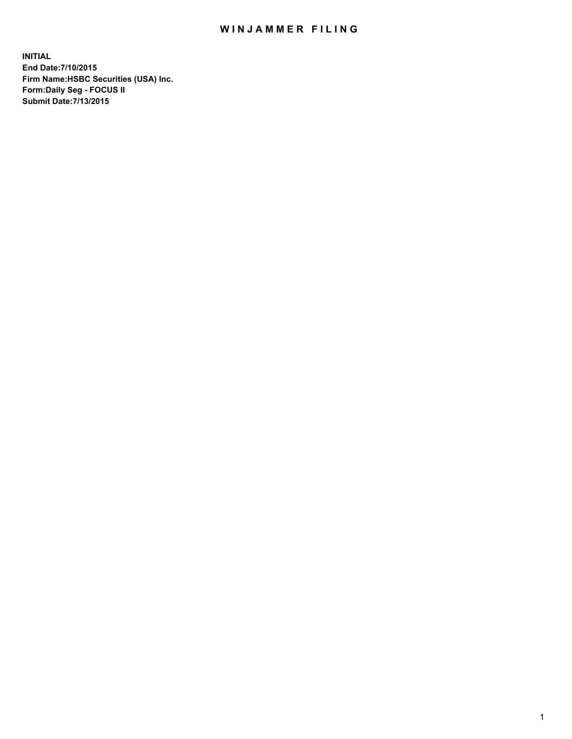## WIN JAMMER FILING

**INITIAL End Date:7/10/2015 Firm Name:HSBC Securities (USA) Inc. Form:Daily Seg - FOCUS II Submit Date:7/13/2015**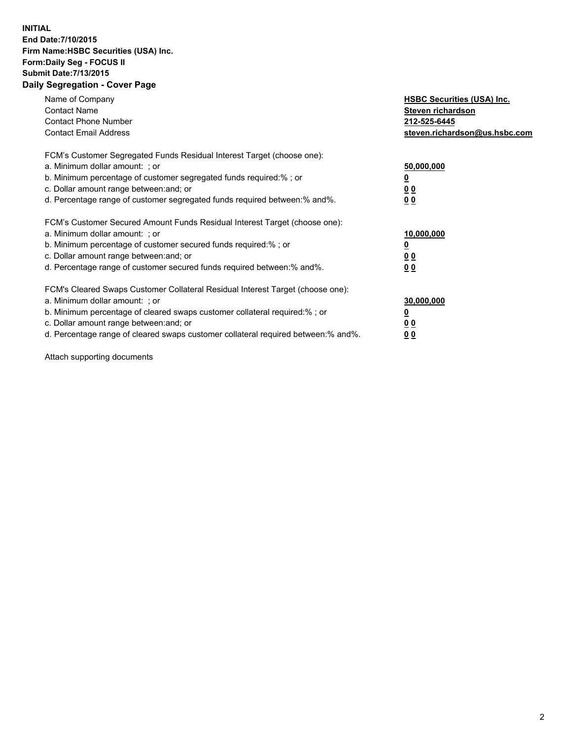## **INITIAL End Date:7/10/2015 Firm Name:HSBC Securities (USA) Inc. Form:Daily Seg - FOCUS II Submit Date:7/13/2015 Daily Segregation - Cover Page**

| Name of Company<br><b>Contact Name</b><br><b>Contact Phone Number</b><br><b>Contact Email Address</b>                                                                                                                                                                                                                         | <b>HSBC Securities (USA) Inc.</b><br>Steven richardson<br>212-525-6445<br>steven.richardson@us.hsbc.com |
|-------------------------------------------------------------------------------------------------------------------------------------------------------------------------------------------------------------------------------------------------------------------------------------------------------------------------------|---------------------------------------------------------------------------------------------------------|
| FCM's Customer Segregated Funds Residual Interest Target (choose one):<br>a. Minimum dollar amount: ; or<br>b. Minimum percentage of customer segregated funds required:% ; or<br>c. Dollar amount range between: and; or<br>d. Percentage range of customer segregated funds required between: % and %.                      | 50,000,000<br>0 <sub>0</sub><br>00                                                                      |
| FCM's Customer Secured Amount Funds Residual Interest Target (choose one):<br>a. Minimum dollar amount: ; or<br>b. Minimum percentage of customer secured funds required:%; or<br>c. Dollar amount range between: and; or<br>d. Percentage range of customer secured funds required between: % and %.                         | 10,000,000<br>00<br>00                                                                                  |
| FCM's Cleared Swaps Customer Collateral Residual Interest Target (choose one):<br>a. Minimum dollar amount: ; or<br>b. Minimum percentage of cleared swaps customer collateral required:%; or<br>c. Dollar amount range between: and; or<br>d. Percentage range of cleared swaps customer collateral required between:% and%. | 30,000,000<br>0 <sub>0</sub><br>00                                                                      |

Attach supporting documents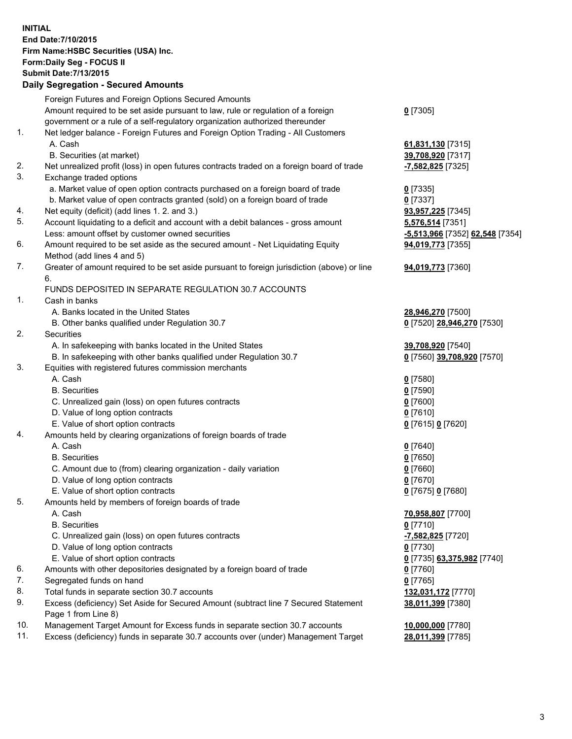**INITIAL End Date:7/10/2015 Firm Name:HSBC Securities (USA) Inc. Form:Daily Seg - FOCUS II Submit Date:7/13/2015 Daily Segregation - Secured Amounts**

|          | Dany Segregation - Secured Announts                                                                                           |                                 |
|----------|-------------------------------------------------------------------------------------------------------------------------------|---------------------------------|
|          | Foreign Futures and Foreign Options Secured Amounts                                                                           |                                 |
|          | Amount required to be set aside pursuant to law, rule or regulation of a foreign                                              | $0$ [7305]                      |
|          | government or a rule of a self-regulatory organization authorized thereunder                                                  |                                 |
| 1.       | Net ledger balance - Foreign Futures and Foreign Option Trading - All Customers                                               |                                 |
|          | A. Cash                                                                                                                       | 61,831,130 [7315]               |
|          | B. Securities (at market)                                                                                                     | 39,708,920 [7317]               |
| 2.       | Net unrealized profit (loss) in open futures contracts traded on a foreign board of trade                                     | -7,582,825 [7325]               |
| 3.       | Exchange traded options                                                                                                       |                                 |
|          | a. Market value of open option contracts purchased on a foreign board of trade                                                |                                 |
|          |                                                                                                                               | $0$ [7335]                      |
|          | b. Market value of open contracts granted (sold) on a foreign board of trade<br>Net equity (deficit) (add lines 1. 2. and 3.) | $0$ [7337]                      |
| 4.<br>5. |                                                                                                                               | 93,957,225 [7345]               |
|          | Account liquidating to a deficit and account with a debit balances - gross amount                                             | 5,576,514 [7351]                |
|          | Less: amount offset by customer owned securities                                                                              | -5,513,966 [7352] 62,548 [7354] |
| 6.       | Amount required to be set aside as the secured amount - Net Liquidating Equity                                                | 94,019,773 [7355]               |
|          | Method (add lines 4 and 5)                                                                                                    |                                 |
| 7.       | Greater of amount required to be set aside pursuant to foreign jurisdiction (above) or line                                   | 94,019,773 [7360]               |
|          | 6.                                                                                                                            |                                 |
|          | FUNDS DEPOSITED IN SEPARATE REGULATION 30.7 ACCOUNTS                                                                          |                                 |
| 1.       | Cash in banks                                                                                                                 |                                 |
|          | A. Banks located in the United States                                                                                         | 28,946,270 [7500]               |
|          | B. Other banks qualified under Regulation 30.7                                                                                | 0 [7520] 28,946,270 [7530]      |
| 2.       | Securities                                                                                                                    |                                 |
|          | A. In safekeeping with banks located in the United States                                                                     | 39,708,920 [7540]               |
|          | B. In safekeeping with other banks qualified under Regulation 30.7                                                            | 0 [7560] 39,708,920 [7570]      |
| 3.       | Equities with registered futures commission merchants                                                                         |                                 |
|          | A. Cash                                                                                                                       | <u>0</u> [7580]                 |
|          | <b>B.</b> Securities                                                                                                          | $0$ [7590]                      |
|          | C. Unrealized gain (loss) on open futures contracts                                                                           | $0$ [7600]                      |
|          | D. Value of long option contracts                                                                                             | $0$ [7610]                      |
|          | E. Value of short option contracts                                                                                            | 0 [7615] 0 [7620]               |
| 4.       | Amounts held by clearing organizations of foreign boards of trade                                                             |                                 |
|          | A. Cash                                                                                                                       | $0$ [7640]                      |
|          | <b>B.</b> Securities                                                                                                          | $0$ [7650]                      |
|          | C. Amount due to (from) clearing organization - daily variation                                                               | $0$ [7660]                      |
|          | D. Value of long option contracts                                                                                             | $0$ [7670]                      |
|          | E. Value of short option contracts                                                                                            | 0 [7675] 0 [7680]               |
| 5        | Amounts held by members of foreign boards of trade                                                                            |                                 |
|          | A. Cash                                                                                                                       | 70,958,807 [7700]               |
|          | <b>B.</b> Securities                                                                                                          | $0$ [7710]                      |
|          | C. Unrealized gain (loss) on open futures contracts                                                                           | <mark>-7,582,825</mark> [7720]  |
|          | D. Value of long option contracts                                                                                             | 0 [7730]                        |
|          | E. Value of short option contracts                                                                                            | 0 [7735] 63,375,982 [7740]      |
| 6.       | Amounts with other depositories designated by a foreign board of trade                                                        | 0 [7760]                        |
| 7.       | Segregated funds on hand                                                                                                      | $0$ [7765]                      |
| 8.       | Total funds in separate section 30.7 accounts                                                                                 | 132,031,172 [7770]              |
| 9.       | Excess (deficiency) Set Aside for Secured Amount (subtract line 7 Secured Statement                                           | 38,011,399 [7380]               |
|          | Page 1 from Line 8)                                                                                                           |                                 |
| 10.      | Management Target Amount for Excess funds in separate section 30.7 accounts                                                   | 10,000,000 [7780]               |
| 11.      | Excess (deficiency) funds in separate 30.7 accounts over (under) Management Target                                            | 28,011,399 [7785]               |
|          |                                                                                                                               |                                 |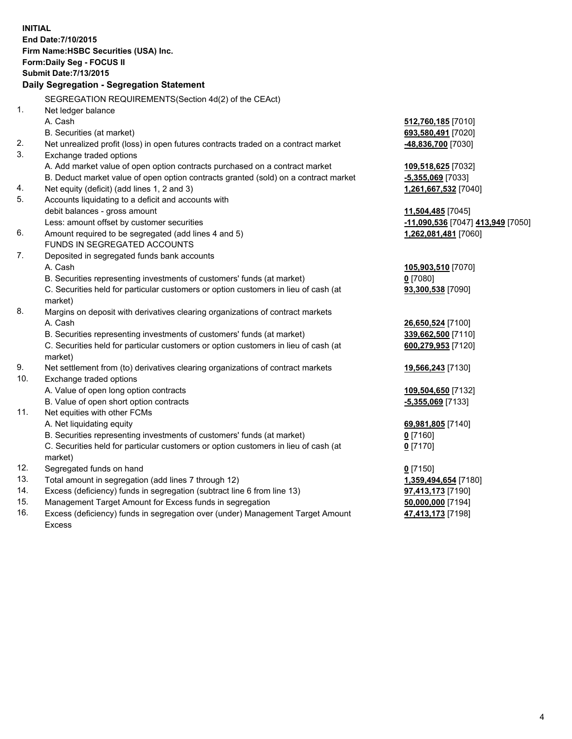**INITIAL End Date:7/10/2015 Firm Name:HSBC Securities (USA) Inc. Form:Daily Seg - FOCUS II Submit Date:7/13/2015 Daily Segregation - Segregation Statement** SEGREGATION REQUIREMENTS(Section 4d(2) of the CEAct) 1. Net ledger balance A. Cash **512,760,185** [7010] B. Securities (at market) **693,580,491** [7020] 2. Net unrealized profit (loss) in open futures contracts traded on a contract market **-48,836,700** [7030] 3. Exchange traded options A. Add market value of open option contracts purchased on a contract market **109,518,625** [7032] B. Deduct market value of open option contracts granted (sold) on a contract market **-5,355,069** [7033] 4. Net equity (deficit) (add lines 1, 2 and 3) **1,261,667,532** [7040] 5. Accounts liquidating to a deficit and accounts with debit balances - gross amount **11,504,485** [7045] Less: amount offset by customer securities **-11,090,536** [7047] **413,949** [7050] 6. Amount required to be segregated (add lines 4 and 5) **1,262,081,481** [7060] FUNDS IN SEGREGATED ACCOUNTS 7. Deposited in segregated funds bank accounts A. Cash **105,903,510** [7070] B. Securities representing investments of customers' funds (at market) **0** [7080] C. Securities held for particular customers or option customers in lieu of cash (at market) **93,300,538** [7090] 8. Margins on deposit with derivatives clearing organizations of contract markets A. Cash **26,650,524** [7100] B. Securities representing investments of customers' funds (at market) **339,662,500** [7110] C. Securities held for particular customers or option customers in lieu of cash (at market) **600,279,953** [7120] 9. Net settlement from (to) derivatives clearing organizations of contract markets **19,566,243** [7130] 10. Exchange traded options A. Value of open long option contracts **109,504,650** [7132] B. Value of open short option contracts **-5,355,069** [7133] 11. Net equities with other FCMs A. Net liquidating equity **69,981,805** [7140] B. Securities representing investments of customers' funds (at market) **0** [7160] C. Securities held for particular customers or option customers in lieu of cash (at market) **0** [7170] 12. Segregated funds on hand **0** [7150] 13. Total amount in segregation (add lines 7 through 12) **1,359,494,654** [7180] 14. Excess (deficiency) funds in segregation (subtract line 6 from line 13) **97,413,173** [7190] 15. Management Target Amount for Excess funds in segregation **50,000,000** [7194]

16. Excess (deficiency) funds in segregation over (under) Management Target Amount Excess

**47,413,173** [7198]